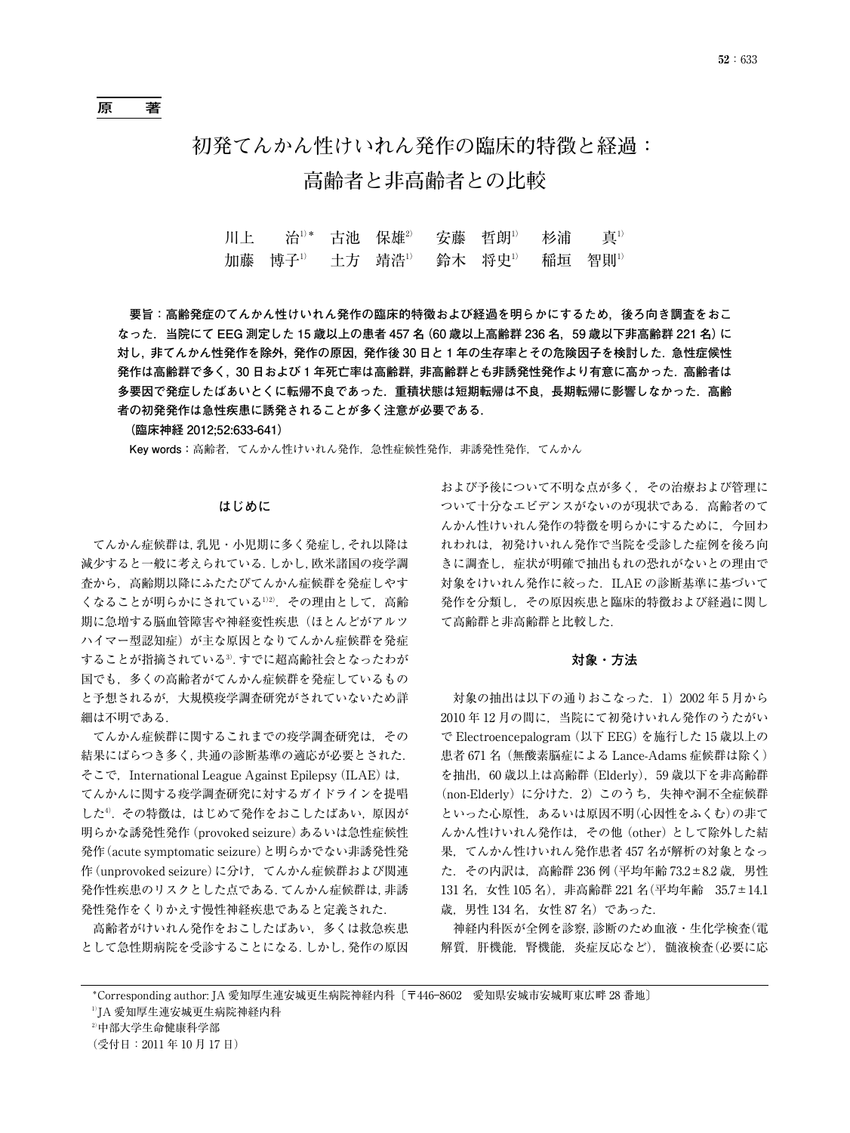# **初発てんかん性けいれん発作の臨床的特徴と経過: 高齢者と非高齢者との比較**

| 川上  治 <sup>1)</sup> * 古池 保雄 <sup>2</sup> 安藤 哲朗 <sup>1)</sup> 杉浦  真 <sup>1)</sup> |  |  |  |
|----------------------------------------------------------------------------------|--|--|--|
| 加藤 博子 <sup>1)</sup> 土方 靖浩 <sup>1)</sup> 鈴木 将史 <sup>1)</sup> 稲垣 智則 <sup>1)</sup>  |  |  |  |

**要旨:高齢発症のてんかん性けいれん発作の臨床的特徴および経過を明らかにするため,後ろ向き調査をおこ なった.当院にて EEG 測定した 15 歳以上の患者 457 名(60 歳以上高齢群 236 名,59 歳以下非高齢群 221 名)に 対し,非てんかん性発作を除外,発作の原因,発作後 30 日と 1 年の生存率とその危険因子を検討した.急性症候性 発作は高齢群で多く,30 日および 1 年死亡率は高齢群,非高齢群とも非誘発性発作より有意に高かった.高齢者は 多要因で発症したばあいとくに転帰不良であった.重積状態は短期転帰は不良,長期転帰に影響しなかった.高齢 者の初発発作は急性疾患に誘発されることが多く注意が必要である.**

**(臨床神経 2012;52:633-641)**

**Key words:**高齢者,てんかん性けいれん発作,急性症候性発作,非誘発性発作,てんかん

### **はじめに**

てんかん症候群は,乳児・小児期に多く発症し,それ以降は 減少すると一般に考えられている.しかし,欧米諸国の疫学調 査から,高齢期以降にふたたびてんかん症候群を発症しやす くなることが明らかにされている1)2).その理由として,高齢 期に急増する脳血管障害や神経変性疾患(ほとんどがアルツ ハイマー型認知症)が主な原因となりてんかん症候群を発症 することが指摘されている3).すでに超高齢社会となったわが 国でも,多くの高齢者がてんかん症候群を発症しているもの と予想されるが,大規模疫学調査研究がされていないため詳 細は不明である.

てんかん症候群に関するこれまでの疫学調査研究は,その 結果にばらつき多く,共通の診断基準の適応が必要とされた. そこで,International League Against Epilepsy(ILAE)は, てんかんに関する疫学調査研究に対するガイドラインを提唱 した<sup>4)</sup>. その特徴は、はじめて発作をおこしたばあい,原因が 明らかな誘発性発作 (provoked seizure) あるいは急性症候性 発作(acute symptomatic seizure)と明らかでない非誘発性発 作(unprovoked seizure)に分け,てんかん症候群および関連 発作性疾患のリスクとした点である.てんかん症候群は,非誘 発性発作をくりかえす慢性神経疾患であると定義された.

高齢者がけいれん発作をおこしたばあい,多くは救急疾患 として急性期病院を受診することになる.しかし,発作の原因

および予後について不明な点が多く,その治療および管理に ついて十分なエビデンスがないのが現状である.高齢者のて んかん性けいれん発作の特徴を明らかにするために,今回わ れわれは,初発けいれん発作で当院を受診した症例を後ろ向 きに調査し,症状が明確で抽出もれの恐れがないとの理由で 対象をけいれん発作に絞った. ILAE の診断基準に基づいて 発作を分類し,その原因疾患と臨床的特徴および経過に関し て高齢群と非高齢群と比較した.

#### **対象・方法**

対象の抽出は以下の通りおこなった. 1) 2002 年 5 月から 2010 年 12 月の間に,当院にて初発けいれん発作のうたがい で Electroencepalogram(以下 EEG)を施行した 15 歳以上の 患者 671 名(無酸素脳症による Lance-Adams 症候群は除く) を抽出,60 歳以上は高齢群(Elderly),59 歳以下を非高齢群 (non-Elderly)に分けた.2)このうち,失神や洞不全症候群 といった心原性,あるいは原因不明(心因性をふくむ)の非て んかん性けいれん発作は,その他(other)として除外した結 果,てんかん性けいれん発作患者 457 名が解析の対象となっ た.その内訳は,高齢群 236 例 (平均年齢 73.2±8.2 歳,男性 131 名,女性 105 名),非高齢群 221 名(平均年齢 35.7±14.1 歳,男性 134 名, 女性 87 名)であった.

神経内科医が全例を診察,診断のため血液・生化学検査(電 解質,肝機能,腎機能,炎症反応など),髄液検査(必要に応

<sup>\*</sup>Corresponding author: JA 愛知厚生連安城更生病院神経内科〔〒446―8602 愛知県安城市安城町東広畔 28 番地〕

<sup>&</sup>lt;sup>1)</sup>JA 愛知厚生連安城更生病院神経内科

<sup>2)</sup>中部大学生命健康科学部

<sup>(</sup>受付日:2011 年 10 月 17 日)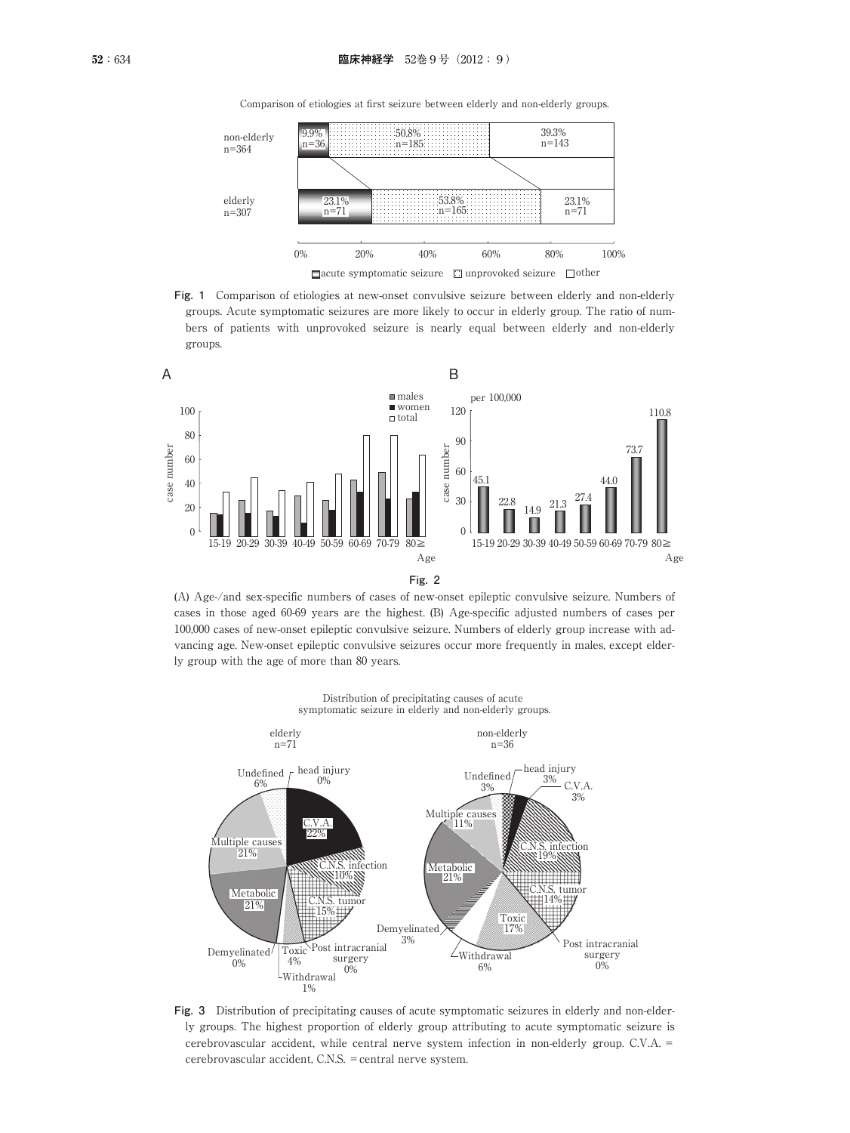

Comparison of etiologies at first seizure between elderly and non-elderly groups.

**Fig. 1** Comparison of etiologies at new-onset convulsive seizure between elderly and non-elderly groups. Acute symptomatic seizures are more likely to occur in elderly group. The ratio of numbers of patients with unprovoked seizure is nearly equal between elderly and non-elderly groups.



(A) Age-/and sex-specific numbers of cases of new-onset epileptic convulsive seizure. Numbers of cases in those aged 60-69 years are the highest. (B) Age-specific adjusted numbers of cases per 100,000 cases of new-onset epileptic convulsive seizure. Numbers of elderly group increase with advancing age. New-onset epileptic convulsive seizures occur more frequently in males, except elderly group with the age of more than 80 years.



Distribution of precipitating causes of acute symptomatic seizure in elderly and non-elderly groups.

**Fig. 3** Distribution of precipitating causes of acute symptomatic seizures in elderly and non-elderly groups. The highest proportion of elderly group attributing to acute symptomatic seizure is cerebrovascular accident, while central nerve system infection in non-elderly group. C.V.A. = cerebrovascular accident, C.N.S. =central nerve system.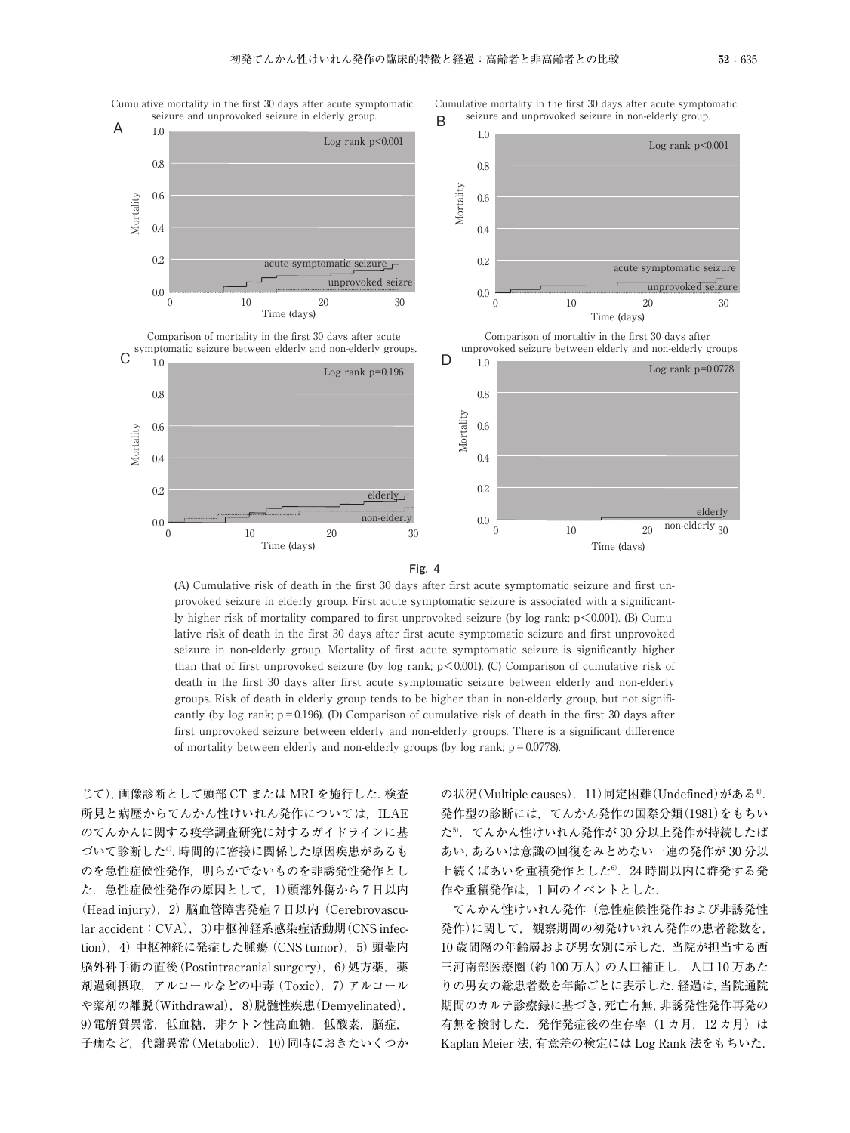

Cumulative mortality in the first 30 days after acute symptomatic

Cumulative mortality in the first 30 days after acute symptomatic seizure and unprovoked seizure in non-elderly group. B



Comparison of mortality in the first 30 days after acute  $\sigma_{10}^{\text{symptomatic seismic between elderly and non-elderly groups.}$ 









(A) Cumulative risk of death in the first 30 days after first acute symptomatic seizure and first unprovoked seizure in elderly group. First acute symptomatic seizure is associated with a significantly higher risk of mortality compared to first unprovoked seizure (by log rank; p<0.001). (B) Cumulative risk of death in the first 30 days after first acute symptomatic seizure and first unprovoked seizure in non-elderly group. Mortality of first acute symptomatic seizure is significantly higher than that of first unprovoked seizure (by log rank;  $p \le 0.001$ ). (C) Comparison of cumulative risk of death in the first 30 days after first acute symptomatic seizure between elderly and non-elderly groups. Risk of death in elderly group tends to be higher than in non-elderly group, but not significantly (by log rank;  $p = 0.196$ ). (D) Comparison of cumulative risk of death in the first 30 days after first unprovoked seizure between elderly and non-elderly groups. There is a significant difference of mortality between elderly and non-elderly groups (by log rank;  $p = 0.0778$ ).

じて),画像診断として頭部 CT または MRI を施行した.検査 所見と病歴からてんかん性けいれん発作については、ILAE のてんかんに関する疫学調査研究に対するガイドラインに基 づいて診断した4).時間的に密接に関係した原因疾患があるも のを急性症候性発作、明らかでないものを非誘発性発作とし た.急性症候性発作の原因として,1)頭部外傷から 7 日以内 (Head injury),2)脳血管障害発症 7 日以内(Cerebrovascular accident: CVA), 3)中枢神経系感染症活動期(CNS infection),4)中枢神経に発症した腫瘍(CNS tumor),5)頭蓋内 脳外科手術の直後(Postintracranial surgery),6)処方薬,薬 剤過剰摂取,アルコールなどの中毒(Toxic),7)アルコール や薬剤の離脱(Withdrawal), 8)脱髄性疾患(Demyelinated), 9) 電解質異常,低血糖,非ケトン性高血糖,低酸素,脳症, 子癇など,代謝異常 (Metabolic), 10)同時におきたいくつか

の状況(Multiple causes), 11)同定困難(Undefined)がある4). 発作型の診断には,てんかん発作の国際分類(1981)をもちい た5).てんかん性けいれん発作が 30 分以上発作が持続したば あい,あるいは意識の回復をみとめない一連の発作が 30 分以 上続くばあいを重積発作とした6). 24 時間以内に群発する発 作や重積発作は,1 回のイベントとした.

てんかん性けいれん発作(急性症候性発作および非誘発性 発作)に関して,観察期間の初発けいれん発作の患者総数を, 10 歳間隔の年齢層および男女別に示した.当院が担当する西 三河南部医療圏 (約100万人)の人口補正し, 人口10万あた りの男女の総患者数を年齢ごとに表示した.経過は,当院通院 期間のカルテ診療録に基づき,死亡有無,非誘発性発作再発の 有無を検討した. 発作発症後の生存率(1カ月, 12カ月)は Kaplan Meier 法,有意差の検定には Log Rank 法をもちいた.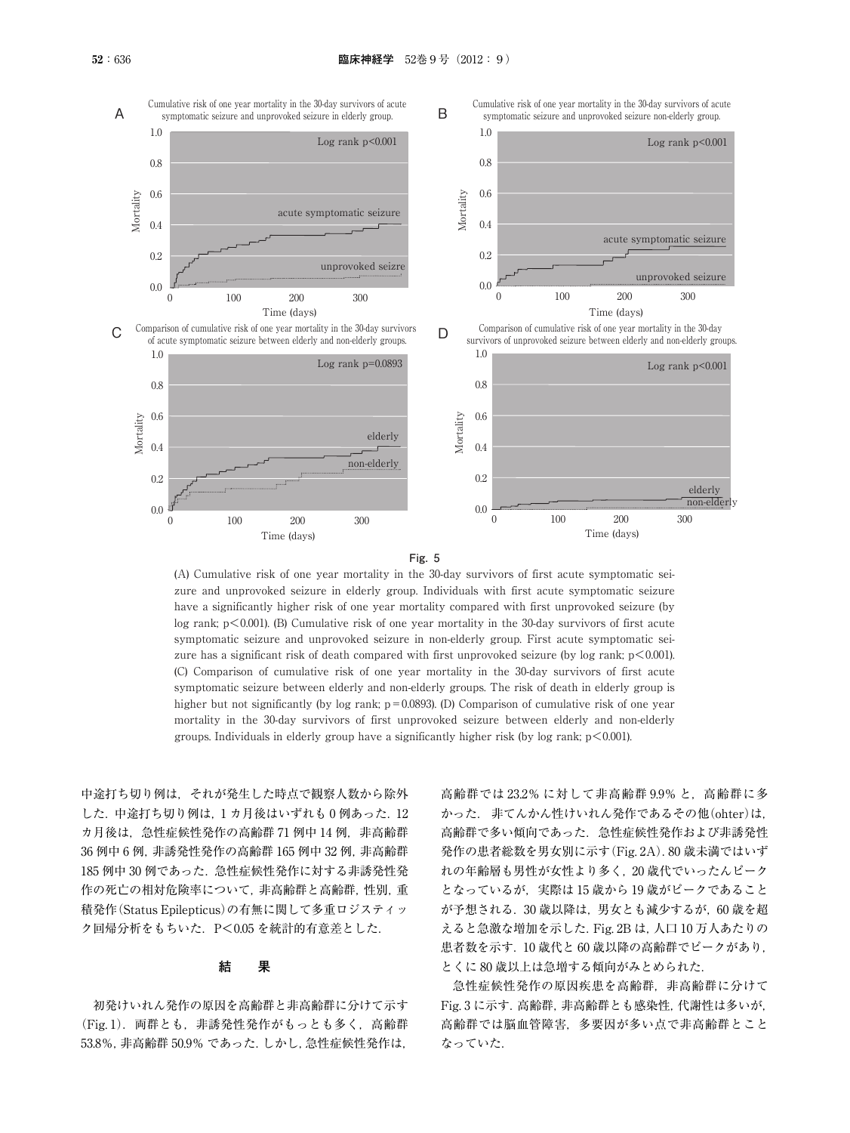



(A) Cumulative risk of one year mortality in the 30-day survivors of first acute symptomatic seizure and unprovoked seizure in elderly group. Individuals with first acute symptomatic seizure have a significantly higher risk of one year mortality compared with first unprovoked seizure (by log rank;  $p \le 0.001$ ). (B) Cumulative risk of one year mortality in the 30-day survivors of first acute symptomatic seizure and unprovoked seizure in non-elderly group. First acute symptomatic seizure has a significant risk of death compared with first unprovoked seizure (by log rank;  $p < 0.001$ ). (C) Comparison of cumulative risk of one year mortality in the 30-day survivors of first acute symptomatic seizure between elderly and non-elderly groups. The risk of death in elderly group is higher but not significantly (by log rank;  $p = 0.0893$ ). (D) Comparison of cumulative risk of one year mortality in the 30-day survivors of first unprovoked seizure between elderly and non-elderly groups. Individuals in elderly group have a significantly higher risk (by log rank;  $p < 0.001$ ).

中途打ち切り例は,それが発生した時点で観察人数から除外  $L$ た. 中途打ち切り例は,1カ月後はいずれも0例あった.12 カ月後は、急性症候性発作の高齢群 71 例中 14 例, 非高齢群 36 例中 6 例, 非誘発性発作の高齢群 165 例中 32 例, 非高齢群 185 例中 30 例であった.急性症候性発作に対する非誘発性発 作の死亡の相対危険率について、非高齢群と高齢群,性別,重 積発作(Status Epilepticus)の有無に関して多重ロジスティッ ク回帰分析をもちいた.P<0.05 を統計的有意差とした.

#### **結 果**

初発けいれん発作の原因を高齢群と非高齢群に分けて示す (Fig. 1). 両群とも, 非誘発性発作がもっとも多く, 高齢群 53.8%,非高齢群 50.9% であった.しかし,急性症候性発作は,

高齢群では 23.2% に対して非高齢群 9.9% と,高齢群に多 かった. 非てんかん性けいれん発作であるその他(ohter)は, 高齢群で多い傾向であった.急性症候性発作および非誘発性 発作の患者総数を男女別に示す(Fig. 2A).80 歳未満ではいず れの年齢層も男性が女性より多く,20 歳代でいったんピーク となっているが,実際は 15 歳から 19 歳がピークであること が予想される.30 歳以降は,男女とも減少するが,60 歳を超 えると急激な増加を示した.Fig. 2B は,人口 10 万人あたりの 患者数を示す.10 歳代と 60 歳以降の高齢群でピークがあり, とくに 80 歳以上は急増する傾向がみとめられた.

急性症候性発作の原因疾患を高齢群,非高齢群に分けて Fig. 3 に示す.高齢群,非高齢群とも感染性,代謝性は多いが, 高齢群では脳血管障害,多要因が多い点で非高齢群とこと なっていた.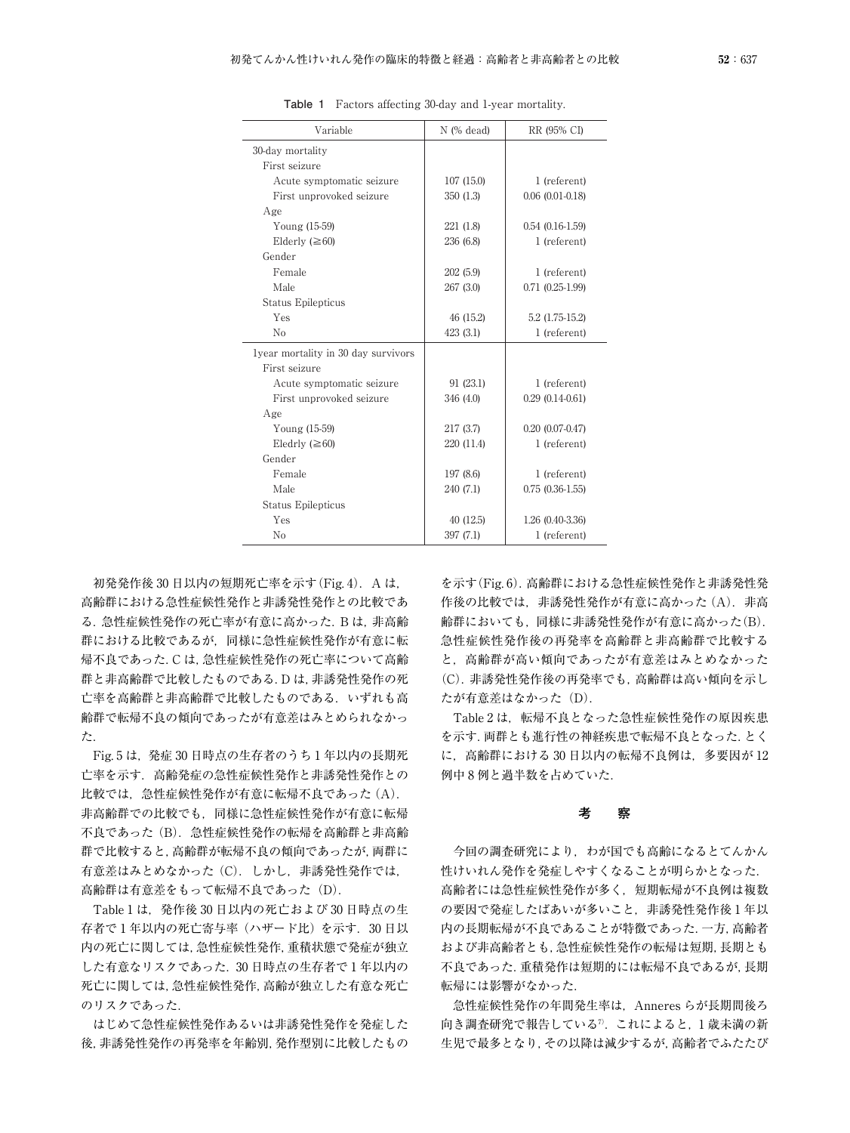| Variable                            | $N$ (% dead) | RR (95% CI)            |  |
|-------------------------------------|--------------|------------------------|--|
| 30-day mortality                    |              |                        |  |
| First seizure                       |              |                        |  |
| Acute symptomatic seizure           | 107(15.0)    | 1 (referent)           |  |
| First unprovoked seizure            | 350 (1.3)    | $0.06$ $(0.01 - 0.18)$ |  |
| Age                                 |              |                        |  |
| Young (15-59)                       | 221 (1.8)    | $0.54(0.16-1.59)$      |  |
| Elderly $(\geq 60)$                 | 236 (6.8)    | 1 (referent)           |  |
| Gender                              |              |                        |  |
| Female                              | 202 (5.9)    | 1 (referent)           |  |
| Male                                | 267 (3.0)    | $0.71(0.25-1.99)$      |  |
| Status Epilepticus                  |              |                        |  |
| Yes                                 | 46 (15.2)    | $5.2(1.75-15.2)$       |  |
| N <sub>0</sub>                      | 423 (3.1)    | 1 (referent)           |  |
| lyear mortality in 30 day survivors |              |                        |  |
| First seizure                       |              |                        |  |
| Acute symptomatic seizure           | 91 (23.1)    | 1 (referent)           |  |
| First unprovoked seizure            | 346 (4.0)    | $0.29(0.14-0.61)$      |  |
| Age                                 |              |                        |  |
| Young (15-59)                       | 217 (3.7)    | $0.20(0.07-0.47)$      |  |
| Eledrly $(\geq 60)$                 | 220 (11.4)   | 1 (referent)           |  |
| Gender                              |              |                        |  |
| Female                              | 197 (8.6)    | 1 (referent)           |  |
| Male                                | 240 (7.1)    | $0.75(0.36-1.55)$      |  |
| <b>Status Epilepticus</b>           |              |                        |  |
| Yes                                 | 40 (12.5)    | 1.26 (0.40-3.36)       |  |
| N <sub>0</sub>                      | 397 (7.1)    | 1 (referent)           |  |

**Table 1** Factors affecting 30-day and 1-year mortality.

初発発作後 30 日以内の短期死亡率を示す (Fig. 4). A は, 高齢群における急性症候性発作と非誘発性発作との比較であ る.急性症候性発作の死亡率が有意に高かった.B は,非高齢 群における比較であるが,同様に急性症候性発作が有意に転 帰不良であった.C は,急性症候性発作の死亡率について高齢 群と非高齢群で比較したものである.D は,非誘発性発作の死 亡率を高齢群と非高齢群で比較したものである.いずれも高 齢群で転帰不良の傾向であったが有意差はみとめられなかっ た.

Fig. 5 は,発症 30 日時点の生存者のうち 1 年以内の長期死 亡率を示す.高齢発症の急性症候性発作と非誘発性発作との 比較では、急性症候性発作が有意に転帰不良であった(A). 非高齢群での比較でも,同様に急性症候性発作が有意に転帰 不良であった(B). 急性症候性発作の転帰を高齢群と非高齢 群で比較すると,高齢群が転帰不良の傾向であったが,両群に 有意差はみとめなかった (C). しかし, 非誘発性発作では, 高齢群は有意差をもって転帰不良であった (D).

Table 1 は,発作後 30 日以内の死亡および 30 日時点の生 存者で 1 年以内の死亡寄与率(ハザード比)を示す.30 日以 内の死亡に関しては,急性症候性発作,重積状態で発症が独立 した有意なリスクであった.30 日時点の生存者で 1 年以内の 死亡に関しては,急性症候性発作,高齢が独立した有意な死亡 のリスクであった.

はじめて急性症候性発作あるいは非誘発性発作を発症した 後,非誘発性発作の再発率を年齢別,発作型別に比較したもの

を示す(Fig. 6).高齢群における急性症候性発作と非誘発性発 作後の比較では、非誘発性発作が有意に高かった (A). 非高 齢群においても,同様に非誘発性発作が有意に高かった(B). 急性症候性発作後の再発率を高齢群と非高齢群で比較する と,高齢群が高い傾向であったが有意差はみとめなかった (C).非誘発性発作後の再発率でも,高齢群は高い傾向を示し たが有意差はなかった (D).

Table 2 は、転帰不良となった急性症候性発作の原因疾患 を示す.両群とも進行性の神経疾患で転帰不良となった.とく に,高齢群における 30 日以内の転帰不良例は,多要因が 12 例中 8 例と過半数を占めていた.

### **考 察**

今回の調査研究により,わが国でも高齢になるとてんかん 性けいれん発作を発症しやすくなることが明らかとなった. 高齢者には急性症候性発作が多く,短期転帰が不良例は複数 の要因で発症したばあいが多いこと、非誘発性発作後1年以 内の長期転帰が不良であることが特徴であった.一方,高齢者 および非高齢者とも,急性症候性発作の転帰は短期,長期とも 不良であった.重積発作は短期的には転帰不良であるが,長期 転帰には影響がなかった.

急性症候性発作の年間発生率は、Anneres らが長期間後ろ 向き調査研究で報告している<sup>7</sup>. これによると, 1 歳未満の新 生児で最多となり,その以降は減少するが,高齢者でふたたび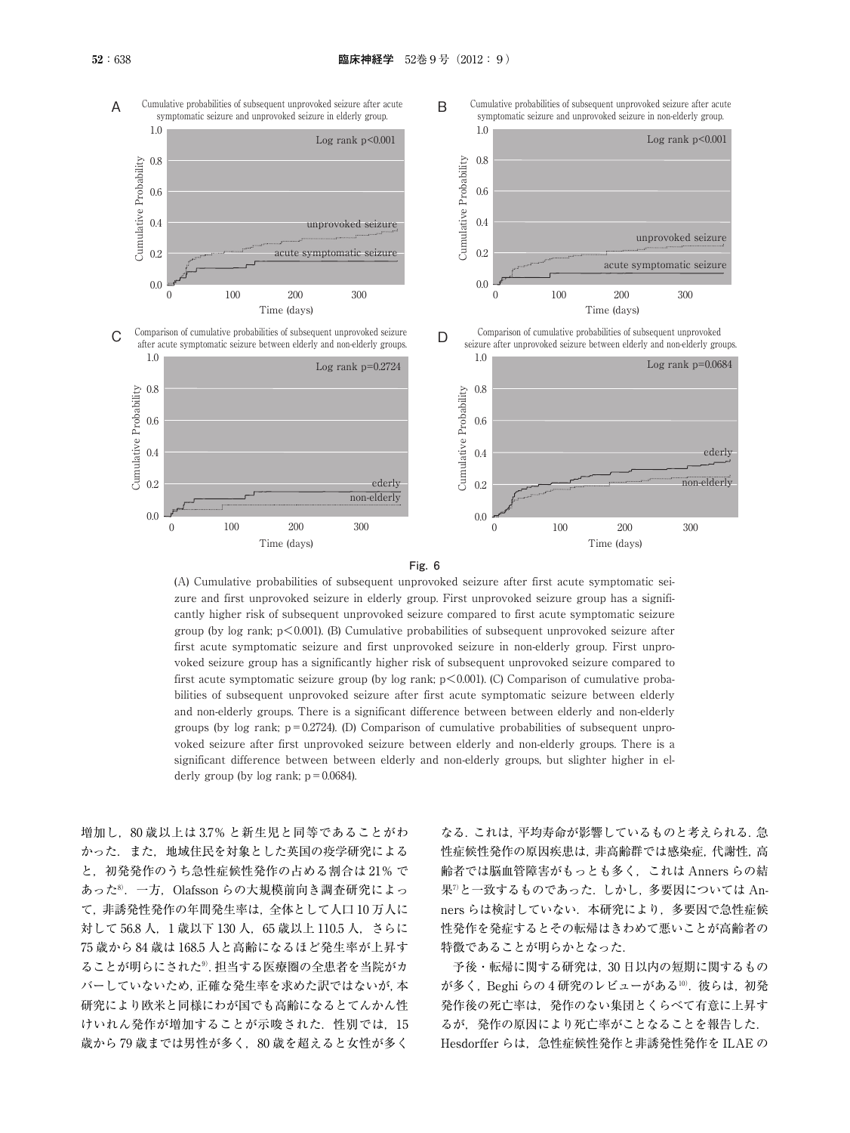



(A) Cumulative probabilities of subsequent unprovoked seizure after first acute symptomatic seizure and first unprovoked seizure in elderly group. First unprovoked seizure group has a significantly higher risk of subsequent unprovoked seizure compared to first acute symptomatic seizure group (by log rank;  $p<0.001$ ). (B) Cumulative probabilities of subsequent unprovoked seizure after first acute symptomatic seizure and first unprovoked seizure in non-elderly group. First unprovoked seizure group has a significantly higher risk of subsequent unprovoked seizure compared to first acute symptomatic seizure group (by log rank;  $p<0.001$ ). (C) Comparison of cumulative probabilities of subsequent unprovoked seizure after first acute symptomatic seizure between elderly and non-elderly groups. There is a significant difference between between elderly and non-elderly groups (by log rank;  $p = 0.2724$ ). (D) Comparison of cumulative probabilities of subsequent unprovoked seizure after first unprovoked seizure between elderly and non-elderly groups. There is a significant difference between between elderly and non-elderly groups, but slighter higher in elderly group (by  $log$  rank;  $p = 0.0684$ ).

増加し,80 歳以上は 3.7% と新生児と同等であることがわ かった.また,地域住民を対象とした英国の疫学研究による と,初発発作のうち急性症候性発作の占める割合は 21% で あった8).一方,Olafsson らの大規模前向き調査研究によっ て,非誘発性発作の年間発生率は,全体として人口 10 万人に 対して 56.8 人, 1 歳以下 130 人, 65 歳以上 110.5 人, さらに 75 歳から 84 歳は 168.5 人と高齢になるほど発生率が上昇す ることが明らにされた9).担当する医療圏の全患者を当院がカ バーしていないため,正確な発生率を求めた訳ではないが,本 研究により欧米と同様にわが国でも高齢になるとてんかん性 けいれん発作が増加することが示唆された. 性別では, 15 歳から79 歳までは男性が多く、80 歳を超えると女性が多く

なる.これは,平均寿命が影響しているものと考えられる.急 性症候性発作の原因疾患は,非高齢群では感染症,代謝性,高 齢者では脳血管障害がもっとも多く,これは Anners らの結 果<sup>7</sup>と一致するものであった. しかし, 多要因については Anners らは検討していない. 本研究により、多要因で急性症候 性発作を発症するとその転帰はきわめて悪いことが高齢者の 特徴であることが明らかとなった.

予後・転帰に関する研究は,30 日以内の短期に関するもの が多く, Beghi らの 4 研究のレビューがある10). 彼らは, 初発 発作後の死亡率は,発作のない集団とくらべて有意に上昇す るが,発作の原因により死亡率がことなることを報告した. Hesdorffer らは、急性症候性発作と非誘発性発作を ILAE の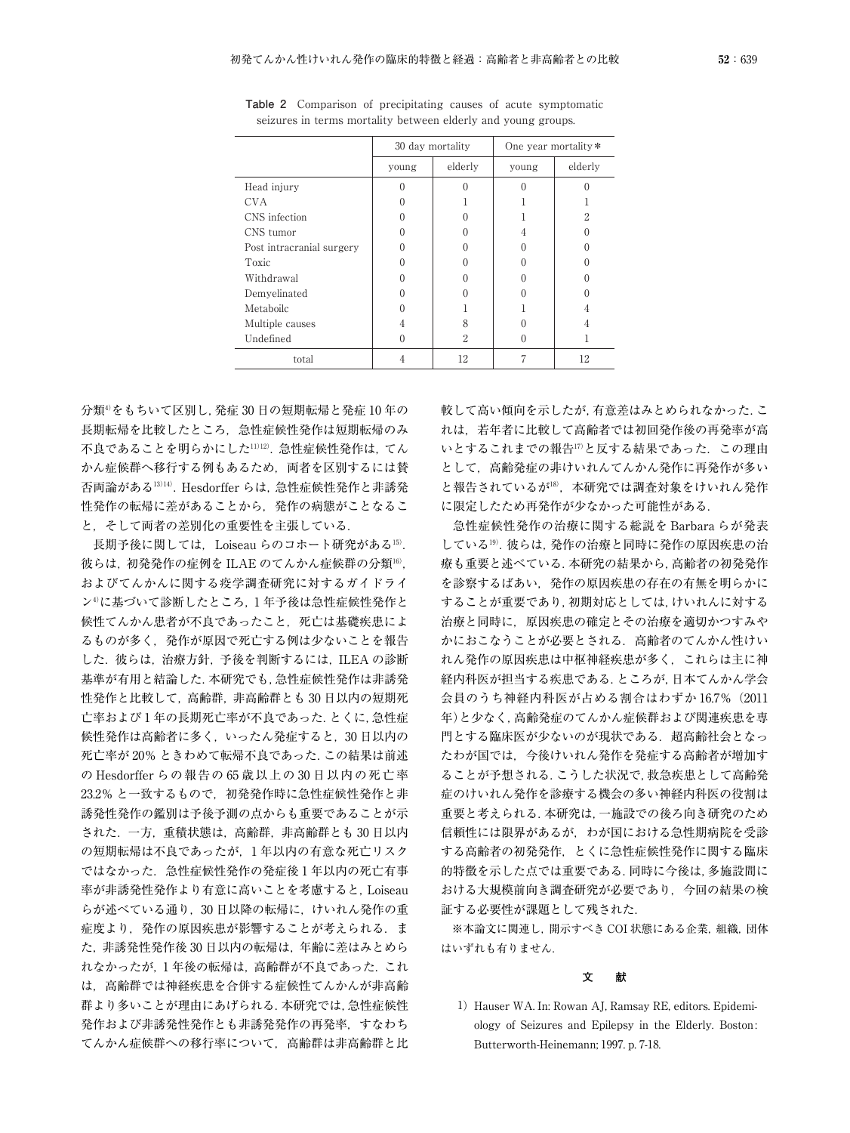|                           | 30 day mortality  |         | One year mortality * |         |  |
|---------------------------|-------------------|---------|----------------------|---------|--|
|                           | young             | elderly | young                | elderly |  |
| Head injury               | 0                 |         |                      |         |  |
| CVA                       | 0                 |         |                      |         |  |
| CNS infection             | 0                 |         |                      | 2       |  |
| CNS tumor                 | 0                 |         |                      |         |  |
| Post intracranial surgery | 0                 |         |                      |         |  |
| <b>Toxic</b>              | 0                 |         |                      |         |  |
| Withdrawal                |                   |         |                      |         |  |
| Demyelinated              | $\mathbf{\Omega}$ |         |                      |         |  |
| Metaboilc                 |                   |         |                      |         |  |
| Multiple causes           | 4                 | 8       |                      |         |  |
| Undefined                 | 0                 | 2       |                      |         |  |
| total                     |                   | 12      |                      | 12      |  |

**Table 2** Comparison of precipitating causes of acute symptomatic seizures in terms mortality between elderly and young groups.

分類4)をもちいて区別し,発症 30 日の短期転帰と発症 10 年の 長期転帰を比較したところ,急性症候性発作は短期転帰のみ 不良であることを明らかにした11)12).急性症候性発作は,てん かん症候群へ移行する例もあるため,両者を区別するには賛 否両論がある13)14).Hesdorffer らは,急性症候性発作と非誘発 性発作の転帰に差があることから,発作の病態がことなるこ と,そして両者の差別化の重要性を主張している.

長期予後に関しては、Loiseau らのコホート研究がある15). 彼らは,初発発作の症例を ILAE のてんかん症候群の分類16), およびてんかんに関する疫学調査研究に対するガイドライ ン4)に基づいて診断したところ,1 年予後は急性症候性発作と 候性てんかん患者が不良であったこと,死亡は基礎疾患によ るものが多く,発作が原因で死亡する例は少ないことを報告 した. 彼らは, 治療方針, 予後を判断するには, ILEA の診断 基準が有用と結論した.本研究でも,急性症候性発作は非誘発 性発作と比較して,高齢群,非高齢群とも 30 日以内の短期死 亡率および 1 年の長期死亡率が不良であった.とくに,急性症 候性発作は高齢者に多く,いったん発症すると,30 日以内の 死亡率が 20% ときわめて転帰不良であった.この結果は前述 の Hesdorffer らの報告の 65 歳以上の 30 日以内の死亡率 23.2% と一致するもので、初発発作時に急性症候性発作と非 誘発性発作の鑑別は予後予測の点からも重要であることが示 された.一方,重積状態は,高齢群,非高齢群とも 30 日以内 の短期転帰は不良であったが,1 年以内の有意な死亡リスク ではなかった.急性症候性発作の発症後 1 年以内の死亡有事 率が非誘発性発作より有意に高いことを考慮すると,Loiseau らが述べている通り,30 日以降の転帰に,けいれん発作の重 症度より, 発作の原因疾患が影響することが考えられる. ま た,非誘発性発作後 30 日以内の転帰は,年齢に差はみとめら れなかったが,1 年後の転帰は,高齢群が不良であった.これ は,高齢群では神経疾患を合併する症候性てんかんが非高齢 群より多いことが理由にあげられる.本研究では,急性症候性 発作および非誘発性発作とも非誘発発作の再発率,すなわち てんかん症候群への移行率について,高齢群は非高齢群と比

較して高い傾向を示したが,有意差はみとめられなかった.こ れは,若年者に比較して高齢者では初回発作後の再発率が高 いとするこれまでの報告17)と反する結果であった. この理由 として,高齢発症の非けいれんてんかん発作に再発作が多い と報告されているが18),本研究では調査対象をけいれん発作 に限定したため再発作が少なかった可能性がある.

急性症候性発作の治療に関する総説を Barbara らが発表 している19).彼らは,発作の治療と同時に発作の原因疾患の治 療も重要と述べている.本研究の結果から,高齢者の初発発作 を診察するばあい,発作の原因疾患の存在の有無を明らかに することが重要であり,初期対応としては,けいれんに対する 治療と同時に,原因疾患の確定とその治療を適切かつすみや かにおこなうことが必要とされる.高齢者のてんかん性けい れん発作の原因疾患は中枢神経疾患が多く,これらは主に神 経内科医が担当する疾患である.ところが,日本てんかん学会 会員のうち神経内科医が占める割合はわずか 16.7% (2011 年)と少なく,高齢発症のてんかん症候群および関連疾患を専 門とする臨床医が少ないのが現状である. 超高齢社会となっ たわが国では,今後けいれん発作を発症する高齢者が増加す ることが予想される.こうした状況で,救急疾患として高齢発 症のけいれん発作を診療する機会の多い神経内科医の役割は 重要と考えられる.本研究は,一施設での後ろ向き研究のため 信頼性には限界があるが,わが国における急性期病院を受診 する高齢者の初発発作,とくに急性症候性発作に関する臨床 的特徴を示した点では重要である.同時に今後は,多施設間に おける大規模前向き調査研究が必要であり,今回の結果の検 証する必要性が課題として残された.

※本論文に関連し,開示すべき COI 状態にある企業,組織,団体 はいずれも有りません.

## **文 献**

1) Hauser WA. In: Rowan AJ, Ramsay RE, editors. Epidemiology of Seizures and Epilepsy in the Elderly. Boston: Butterworth-Heinemann; 1997. p. 7-18.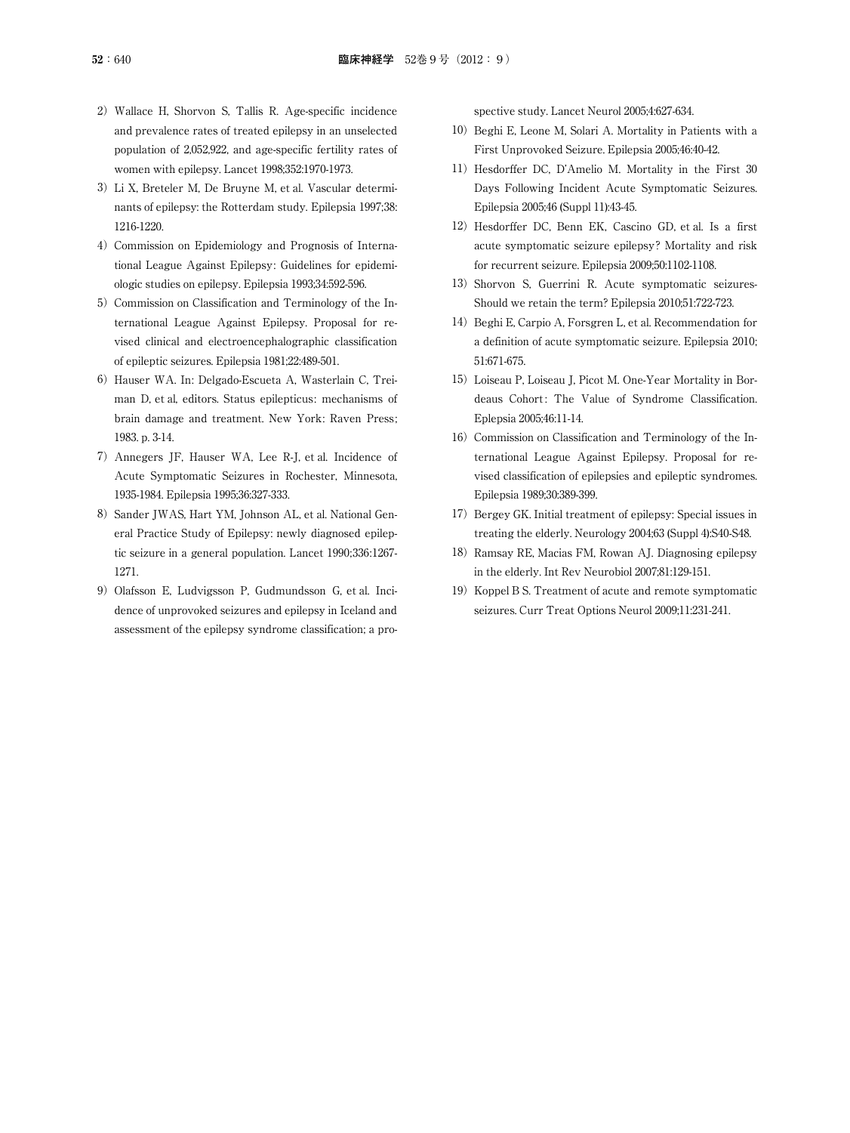- 2) Wallace H, Shorvon S, Tallis R. Age-specific incidence and prevalence rates of treated epilepsy in an unselected population of 2,052,922, and age-specific fertility rates of women with epilepsy. Lancet 1998;352:1970-1973.
- 3)Li X, Breteler M, De Bruyne M, et al. Vascular determinants of epilepsy: the Rotterdam study. Epilepsia 1997;38: 1216-1220.
- 4) Commission on Epidemiology and Prognosis of International League Against Epilepsy: Guidelines for epidemiologic studies on epilepsy. Epilepsia 1993;34:592-596.
- 5) Commission on Classification and Terminology of the International League Against Epilepsy. Proposal for revised clinical and electroencephalographic classification of epileptic seizures. Epilepsia 1981;22:489-501.
- 6) Hauser WA. In: Delgado-Escueta A, Wasterlain C, Treiman D, et al, editors. Status epilepticus: mechanisms of brain damage and treatment. New York: Raven Press; 1983. p. 3-14.
- 7)Annegers JF, Hauser WA, Lee R-J, et al. Incidence of Acute Symptomatic Seizures in Rochester, Minnesota, 1935-1984. Epilepsia 1995;36:327-333.
- 8) Sander JWAS, Hart YM, Johnson AL, et al. National General Practice Study of Epilepsy: newly diagnosed epileptic seizure in a general population. Lancet 1990;336:1267- 1271.
- 9) Olafsson E, Ludvigsson P, Gudmundsson G, et al. Incidence of unprovoked seizures and epilepsy in Iceland and assessment of the epilepsy syndrome classification; a pro-

spective study. Lancet Neurol 2005;4:627-634.

- 10) Beghi E, Leone M, Solari A. Mortality in Patients with a First Unprovoked Seizure. Epilepsia 2005;46:40-42.
- 11) Hesdorffer DC, D'Amelio M. Mortality in the First 30 Days Following Incident Acute Symptomatic Seizures. Epilepsia 2005;46 (Suppl 11):43-45.
- 12) Hesdorffer DC, Benn EK, Cascino GD, et al. Is a first acute symptomatic seizure epilepsy? Mortality and risk for recurrent seizure. Epilepsia 2009;50:1102-1108.
- 13) Shorvon S, Guerrini R. Acute symptomatic seizures-Should we retain the term? Epilepsia 2010;51:722-723.
- 14) Beghi E, Carpio A, Forsgren L, et al. Recommendation for a definition of acute symptomatic seizure. Epilepsia 2010; 51:671-675.
- 15) Loiseau P, Loiseau J, Picot M, One-Year Mortality in Bordeaus Cohort: The Value of Syndrome Classification. Eplepsia 2005;46:11-14.
- 16) Commission on Classification and Terminology of the International League Against Epilepsy. Proposal for revised classification of epilepsies and epileptic syndromes. Epilepsia 1989;30:389-399.
- 17) Bergey GK. Initial treatment of epilepsy: Special issues in treating the elderly. Neurology 2004;63 (Suppl 4):S40-S48.
- 18) Ramsay RE, Macias FM, Rowan AJ. Diagnosing epilepsy in the elderly. Int Rev Neurobiol 2007;81:129-151.
- 19) Koppel B S. Treatment of acute and remote symptomatic seizures. Curr Treat Options Neurol 2009;11:231-241.